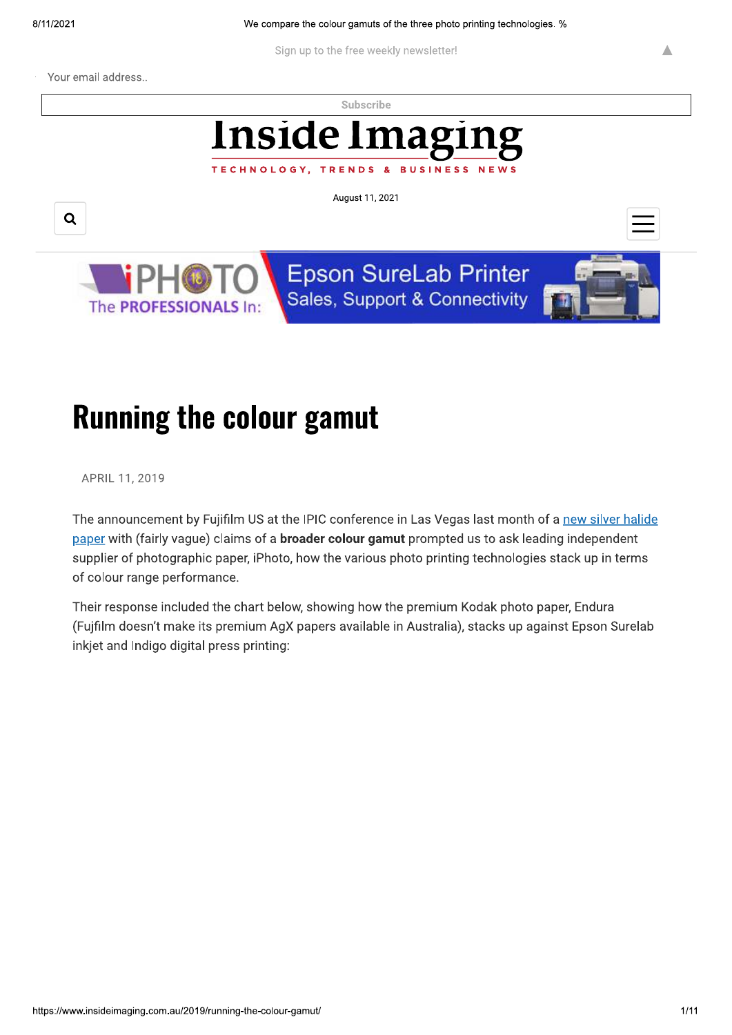Sign up to the free weekly newsletter!

Your email address...

Subscribe

# **Inside In**

 $\mathbf{a}$ 

**BUSINESS NEWS** 

August 11, 2021

TECHNOLOGY, TRENDS

 $\alpha$ 



**Epson SureLab Printer** Sales, Support & Connectivity



Δ

## **Running the colour gamut**

APRIL 11, 2019

The announcement by Fujifilm US at the IPIC conference in Las Vegas last month of a new silver halide paper with (fairly vague) claims of a **broader colour gamut** prompted us to ask leading independent supplier of photographic paper, iPhoto, how the various photo printing technologies stack up in terms of colour range performance.

Their response included the chart below, showing how the premium Kodak photo paper, Endura (Fujfilm doesn't make its premium AgX papers available in Australia), stacks up against Epson Surelab inkjet and Indigo digital press printing: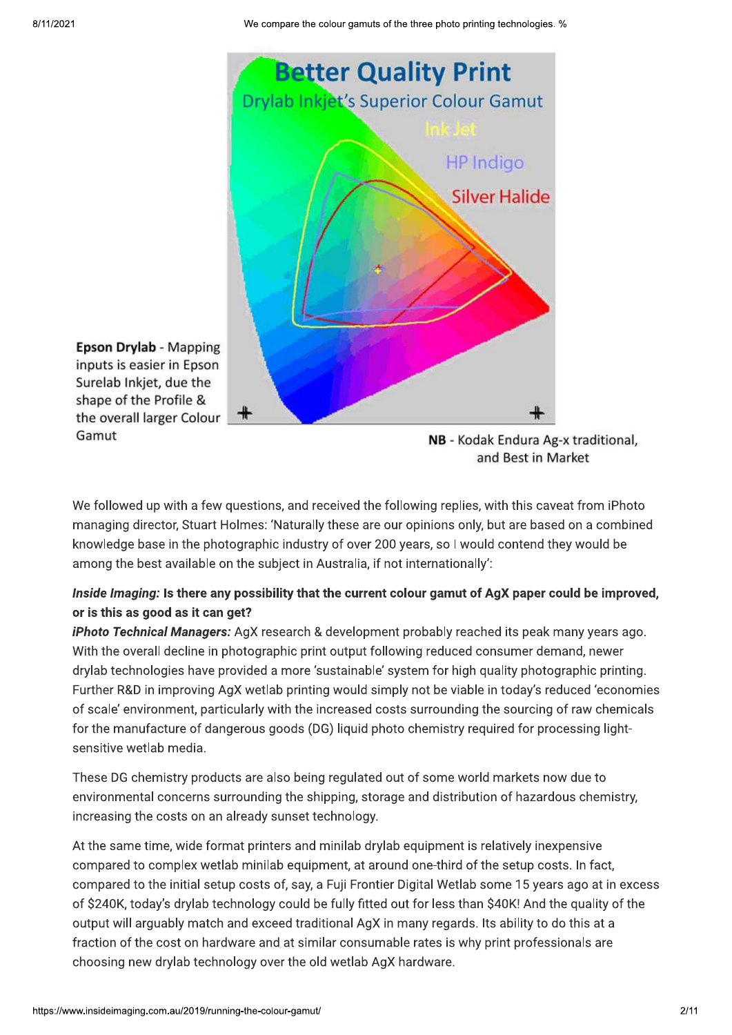

**Epson Drylab - Mapping** inputs is easier in Epson Surelab Inkjet, due the shape of the Profile & the overall larger Colour Gamut

NB - Kodak Endura Ag-x traditional, and Best in Market

We followed up with a few questions, and received the following replies, with this caveat from iPhoto managing director, Stuart Holmes: 'Naturally these are our opinions only, but are based on a combined knowledge base in the photographic industry of over 200 years, so I would contend they would be among the best available on the subject in Australia, if not internationally':

#### Inside Imaging: Is there any possibility that the current colour gamut of AgX paper could be improved, or is this as good as it can get?

iPhoto Technical Managers: AgX research & development probably reached its peak many years ago. With the overall decline in photographic print output following reduced consumer demand, newer drylab technologies have provided a more 'sustainable' system for high quality photographic printing. Further R&D in improving AgX wetlab printing would simply not be viable in today's reduced 'economies of scale' environment, particularly with the increased costs surrounding the sourcing of raw chemicals for the manufacture of dangerous goods (DG) liquid photo chemistry required for processing lightsensitive wetlab media.

These DG chemistry products are also being regulated out of some world markets now due to environmental concerns surrounding the shipping, storage and distribution of hazardous chemistry, increasing the costs on an already sunset technology.

At the same time, wide format printers and minilab drylab equipment is relatively inexpensive compared to complex wetlab minilab equipment, at around one-third of the setup costs. In fact, compared to the initial setup costs of, say, a Fuji Frontier Digital Wetlab some 15 years ago at in excess of \$240K, today's drylab technology could be fully fitted out for less than \$40K! And the quality of the output will arguably match and exceed traditional AqX in many regards. Its ability to do this at a fraction of the cost on hardware and at similar consumable rates is why print professionals are choosing new drylab technology over the old wetlab AgX hardware.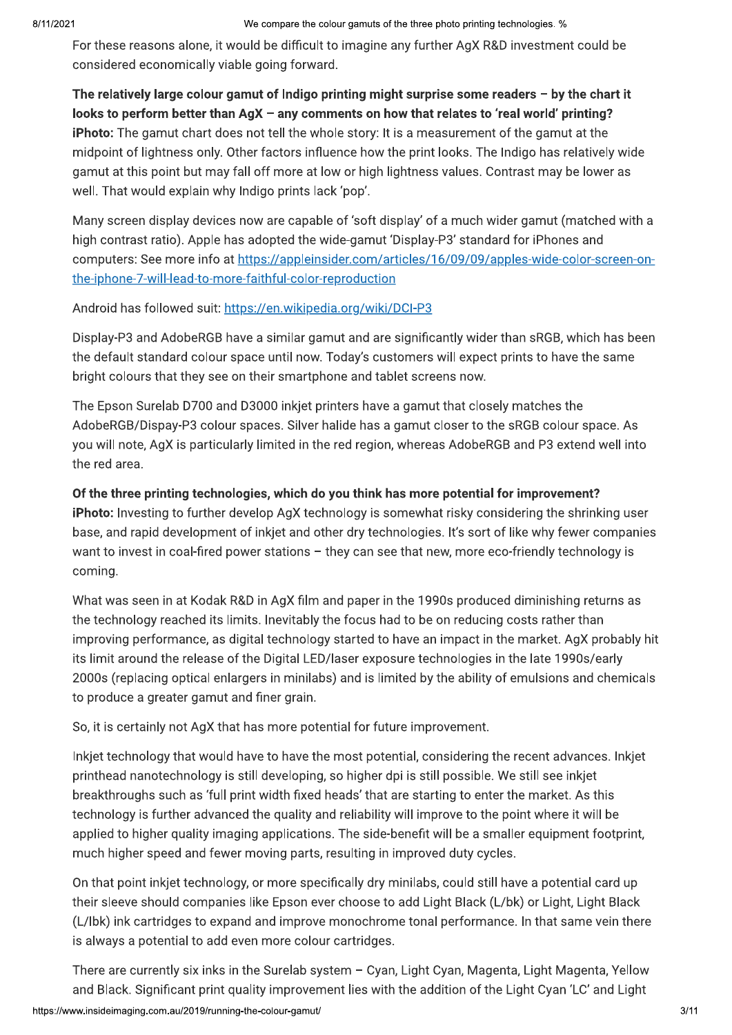For these reasons alone, it would be difficult to imagine any further AgX R&D investment could be considered economically viable going forward.

The relatively large colour gamut of Indigo printing might surprise some readers  $-$  by the chart it looks to perform better than AqX - any comments on how that relates to 'real world' printing? **iPhoto:** The gamut chart does not tell the whole story: It is a measurement of the gamut at the midpoint of lightness only. Other factors influence how the print looks. The Indigo has relatively wide gamut at this point but may fall off more at low or high lightness values. Contrast may be lower as well. That would explain why Indigo prints lack 'pop'.

Many screen display devices now are capable of 'soft display' of a much wider gamut (matched with a high contrast ratio). Apple has adopted the wide-gamut 'Display-P3' standard for iPhones and computers: See more info at https://appleinsider.com/articles/16/09/09/apples-wide-color-screen-onthe-iphone-7-will-lead-to-more-faithful-color-reproduction

Android has followed suit: https://en.wikipedia.org/wiki/DCI-P3

Display-P3 and AdobeRGB have a similar gamut and are significantly wider than sRGB, which has been the default standard colour space until now. Today's customers will expect prints to have the same bright colours that they see on their smartphone and tablet screens now.

The Epson Surelab D700 and D3000 inkjet printers have a gamut that closely matches the AdobeRGB/Dispay-P3 colour spaces. Silver halide has a gamut closer to the sRGB colour space. As you will note, AgX is particularly limited in the red region, whereas AdobeRGB and P3 extend well into the red area.

#### Of the three printing technologies, which do you think has more potential for improvement?

**iPhoto:** Investing to further develop AgX technology is somewhat risky considering the shrinking user base, and rapid development of inkiet and other dry technologies. It's sort of like why fewer companies want to invest in coal-fired power stations - they can see that new, more eco-friendly technology is coming.

What was seen in at Kodak R&D in AqX film and paper in the 1990s produced diminishing returns as the technology reached its limits. Inevitably the focus had to be on reducing costs rather than improving performance, as digital technology started to have an impact in the market. AgX probably hit its limit around the release of the Digital LED/laser exposure technologies in the late 1990s/early 2000s (replacing optical enlargers in minilabs) and is limited by the ability of emulsions and chemicals to produce a greater gamut and finer grain.

So, it is certainly not AgX that has more potential for future improvement.

Inkjet technology that would have to have the most potential, considering the recent advances. Inkjet printhead nanotechnology is still developing, so higher dpi is still possible. We still see inkjet breakthroughs such as 'full print width fixed heads' that are starting to enter the market. As this technology is further advanced the quality and reliability will improve to the point where it will be applied to higher quality imaging applications. The side-benefit will be a smaller equipment footprint, much higher speed and fewer moving parts, resulting in improved duty cycles.

On that point inkiet technology, or more specifically dry minilabs, could still have a potential card up their sleeve should companies like Epson ever choose to add Light Black (L/bk) or Light, Light Black (L/lbk) ink cartridges to expand and improve monochrome tonal performance. In that same vein there is always a potential to add even more colour cartridges.

There are currently six inks in the Surelab system - Cyan, Light Cyan, Magenta, Light Magenta, Yellow and Black. Significant print quality improvement lies with the addition of the Light Cyan 'LC' and Light